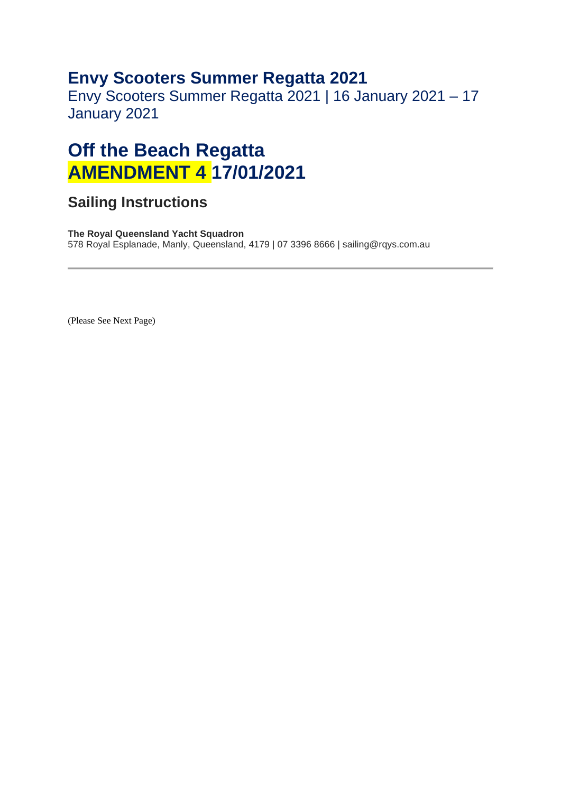## **Envy Scooters Summer Regatta 2021**

Envy Scooters Summer Regatta 2021 | 16 January 2021 – 17 January 2021

## **Off the Beach Regatta AMENDMENT 4 17/01/2021**

## **Sailing Instructions**

**The Royal Queensland Yacht Squadron**  578 Royal Esplanade, Manly, Queensland, 4179 | 07 3396 8666 | sailing@rqys.com.au

(Please See Next Page)